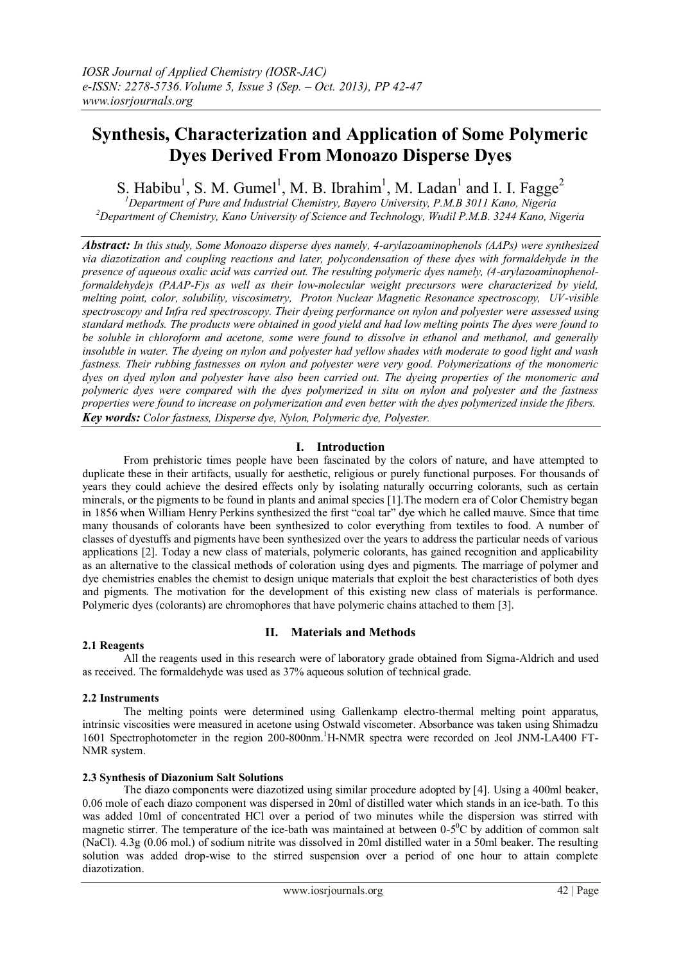# **Synthesis, Characterization and Application of Some Polymeric Dyes Derived From Monoazo Disperse Dyes**

S. Habibu<sup>1</sup>, S. M. Gumel<sup>1</sup>, M. B. Ibrahim<sup>1</sup>, M. Ladan<sup>1</sup> and I. I. Fagge<sup>2</sup>

*<sup>1</sup>Department of Pure and Industrial Chemistry, Bayero University, P.M.B 3011 Kano, Nigeria <sup>2</sup>Department of Chemistry, Kano University of Science and Technology, Wudil P.M.B. 3244 Kano, Nigeria*

*Abstract: In this study, Some Monoazo disperse dyes namely, 4-arylazoaminophenols (AAPs) were synthesized via diazotization and coupling reactions and later, polycondensation of these dyes with formaldehyde in the presence of aqueous oxalic acid was carried out. The resulting polymeric dyes namely, (4-arylazoaminophenolformaldehyde)s (PAAP-F)s as well as their low-molecular weight precursors were characterized by yield, melting point, color, solubility, viscosimetry, Proton Nuclear Magnetic Resonance spectroscopy, UV-visible spectroscopy and Infra red spectroscopy. Their dyeing performance on nylon and polyester were assessed using standard methods. The products were obtained in good yield and had low melting points The dyes were found to be soluble in chloroform and acetone, some were found to dissolve in ethanol and methanol, and generally insoluble in water. The dyeing on nylon and polyester had yellow shades with moderate to good light and wash fastness. Their rubbing fastnesses on nylon and polyester were very good. Polymerizations of the monomeric dyes on dyed nylon and polyester have also been carried out. The dyeing properties of the monomeric and polymeric dyes were compared with the dyes polymerized in situ on nylon and polyester and the fastness properties were found to increase on polymerization and even better with the dyes polymerized inside the fibers. Key words: Color fastness, Disperse dye, Nylon, Polymeric dye, Polyester.* 

# **I. Introduction**

From prehistoric times people have been fascinated by the colors of nature, and have attempted to duplicate these in their artifacts, usually for aesthetic, religious or purely functional purposes. For thousands of years they could achieve the desired effects only by isolating naturally occurring colorants, such as certain minerals, or the pigments to be found in plants and animal species [1].The modern era of Color Chemistry began in 1856 when William Henry Perkins synthesized the first "coal tar" dye which he called mauve. Since that time many thousands of colorants have been synthesized to color everything from textiles to food. A number of classes of dyestuffs and pigments have been synthesized over the years to address the particular needs of various applications [2]. Today a new class of materials, polymeric colorants, has gained recognition and applicability as an alternative to the classical methods of coloration using dyes and pigments. The marriage of polymer and dye chemistries enables the chemist to design unique materials that exploit the best characteristics of both dyes and pigments. The motivation for the development of this existing new class of materials is performance. Polymeric dyes (colorants) are chromophores that have polymeric chains attached to them [3].

# **2.1 Reagents**

# **II. Materials and Methods**

All the reagents used in this research were of laboratory grade obtained from Sigma-Aldrich and used as received. The formaldehyde was used as 37% aqueous solution of technical grade.

# **2.2 Instruments**

The melting points were determined using Gallenkamp electro-thermal melting point apparatus, intrinsic viscosities were measured in acetone using Ostwald viscometer. Absorbance was taken using Shimadzu 1601 Spectrophotometer in the region 200-800nm.<sup>1</sup>H-NMR spectra were recorded on Jeol JNM-LA400 FT-NMR system.

# **2.3 Synthesis of Diazonium Salt Solutions**

The diazo components were diazotized using similar procedure adopted by [4]. Using a 400ml beaker, 0.06 mole of each diazo component was dispersed in 20ml of distilled water which stands in an ice-bath. To this was added 10ml of concentrated HCl over a period of two minutes while the dispersion was stirred with magnetic stirrer. The temperature of the ice-bath was maintained at between  $0-5^\circ$ C by addition of common salt (NaCl). 4.3g (0.06 mol.) of sodium nitrite was dissolved in 20ml distilled water in a 50ml beaker. The resulting solution was added drop-wise to the stirred suspension over a period of one hour to attain complete diazotization.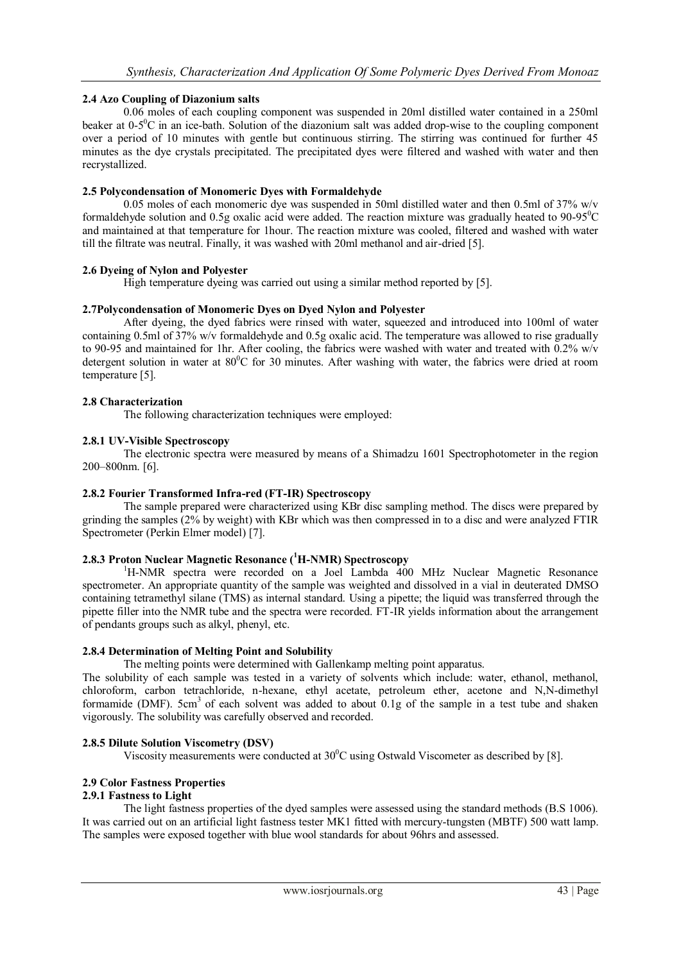# **2.4 Azo Coupling of Diazonium salts**

0.06 moles of each coupling component was suspended in 20ml distilled water contained in a 250ml beaker at  $0-5^0C$  in an ice-bath. Solution of the diazonium salt was added drop-wise to the coupling component over a period of 10 minutes with gentle but continuous stirring. The stirring was continued for further 45 minutes as the dye crystals precipitated. The precipitated dyes were filtered and washed with water and then recrystallized.

# **2.5 Polycondensation of Monomeric Dyes with Formaldehyde**

0.05 moles of each monomeric dye was suspended in 50ml distilled water and then 0.5ml of 37% w/v formaldehyde solution and 0.5g oxalic acid were added. The reaction mixture was gradually heated to  $90-95^{\circ}$ C and maintained at that temperature for 1hour. The reaction mixture was cooled, filtered and washed with water till the filtrate was neutral. Finally, it was washed with 20ml methanol and air-dried [5].

# **2.6 Dyeing of Nylon and Polyester**

High temperature dyeing was carried out using a similar method reported by [5].

# **2.7Polycondensation of Monomeric Dyes on Dyed Nylon and Polyester**

After dyeing, the dyed fabrics were rinsed with water, squeezed and introduced into 100ml of water containing 0.5ml of 37% w/v formaldehyde and 0.5g oxalic acid. The temperature was allowed to rise gradually to 90-95 and maintained for 1hr. After cooling, the fabrics were washed with water and treated with 0.2% w/v detergent solution in water at  $80^{\circ}$ C for 30 minutes. After washing with water, the fabrics were dried at room temperature [5].

# **2.8 Characterization**

The following characterization techniques were employed:

#### **2.8.1 UV-Visible Spectroscopy**

The electronic spectra were measured by means of a Shimadzu 1601 Spectrophotometer in the region 200–800nm. [6].

# **2.8.2 Fourier Transformed Infra-red (FT-IR) Spectroscopy**

The sample prepared were characterized using KBr disc sampling method. The discs were prepared by grinding the samples (2% by weight) with KBr which was then compressed in to a disc and were analyzed FTIR Spectrometer (Perkin Elmer model) [7].

#### **2.8.3 Proton Nuclear Magnetic Resonance (<sup>1</sup>H-NMR) Spectroscopy**

<sup>1</sup>H-NMR spectra were recorded on a Joel Lambda 400 MHz Nuclear Magnetic Resonance spectrometer. An appropriate quantity of the sample was weighted and dissolved in a vial in deuterated DMSO containing tetramethyl silane (TMS) as internal standard. Using a pipette; the liquid was transferred through the pipette filler into the NMR tube and the spectra were recorded. FT-IR yields information about the arrangement of pendants groups such as alkyl, phenyl, etc.

# **2.8.4 Determination of Melting Point and Solubility**

The melting points were determined with Gallenkamp melting point apparatus.

The solubility of each sample was tested in a variety of solvents which include: water, ethanol, methanol, chloroform, carbon tetrachloride, n-hexane, ethyl acetate, petroleum ether, acetone and N,N-dimethyl formamide (DMF). 5cm<sup>3</sup> of each solvent was added to about 0.1g of the sample in a test tube and shaken vigorously. The solubility was carefully observed and recorded.

# **2.8.5 Dilute Solution Viscometry (DSV)**

Viscosity measurements were conducted at  $30^{\circ}$ C using Ostwald Viscometer as described by [8].

# **2.9 Color Fastness Properties**

#### **2.9.1 Fastness to Light**

The light fastness properties of the dyed samples were assessed using the standard methods (B.S 1006). It was carried out on an artificial light fastness tester MK1 fitted with mercury-tungsten (MBTF) 500 watt lamp. The samples were exposed together with blue wool standards for about 96hrs and assessed.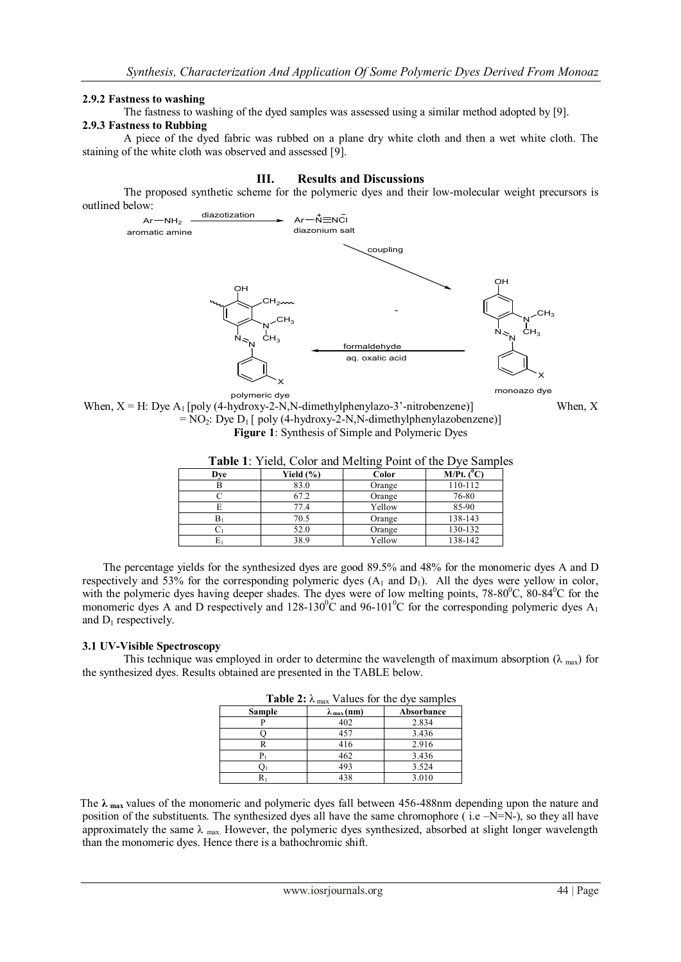#### **2.9.2 Fastness to washing**

The fastness to washing of the dyed samples was assessed using a similar method adopted by [9].

#### **2.9.3 Fastness to Rubbing**

A piece of the dyed fabric was rubbed on a plane dry white cloth and then a wet white cloth. The staining of the white cloth was observed and assessed [9].

#### **III. Results and Discussions**

The proposed synthetic scheme for the polymeric dyes and their low-molecular weight precursors is outlined below:



monoazo dye

polymeric dye When,  $X = H$ : Dye  $A_1$  [poly (4-hydroxy-2-N, N-dimethylphenylazo-3'-nitrobenzene)] When, X  $= NO_2$ : Dye  $D_1$  [ poly (4-hydroxy-2-N,N-dimethylphenylazobenzene)] **Figure 1**: Synthesis of Simple and Polymeric Dyes

| <b>Table 1:</b> Yield, Color and Melting Point of the Dye Samples |               |        |                   |  |
|-------------------------------------------------------------------|---------------|--------|-------------------|--|
| Dve                                                               | Yield $(\% )$ | Color  | $M/Pt.$ ( $^0C$ ) |  |
|                                                                   | 83.0          | Orange | 110-112           |  |
|                                                                   | 67.2          | Orange | 76-80             |  |
|                                                                   | 77.4          | Yellow | 85-90             |  |
|                                                                   | 70.5          | Orange | 138-143           |  |
|                                                                   | 52.0          | Orange | 130-132           |  |

 $E_1$  38.9 Yellow 138-142

**Table 1**: Yield, Color and Melting Point of the Dye Samples

The percentage yields for the synthesized dyes are good 89.5% and 48% for the monomeric dyes A and D respectively and 53% for the corresponding polymeric dyes  $(A_1 \text{ and } D_1)$ . All the dyes were yellow in color, with the polymeric dyes having deeper shades. The dyes were of low melting points, 78-80<sup>0</sup>C, 80-84<sup>0</sup>C for the monomeric dyes A and D respectively and  $128-130^{\circ}$ C and  $96-101^{\circ}$ C for the corresponding polymeric dyes A<sub>1</sub> and  $D_1$  respectively.

# **3.1 UV-Visible Spectroscopy**

This technique was employed in order to determine the wavelength of maximum absorption ( $\lambda_{\text{max}}$ ) for the synthesized dyes. Results obtained are presented in the TABLE below.

| <b>Table 2:</b> $\lambda_{\text{max}}$ Values for the dye samples |                            |            |  |
|-------------------------------------------------------------------|----------------------------|------------|--|
| Sample                                                            | $\lambda_{\text{max}}(nm)$ | Absorbance |  |
|                                                                   | 402                        | 2.834      |  |
|                                                                   | 457                        | 3.436      |  |
|                                                                   | 416                        | 2.916      |  |
|                                                                   | 462                        | 3.436      |  |
|                                                                   | 493                        | 3.524      |  |
|                                                                   | 438                        | 3.010      |  |

 The **λ max** values of the monomeric and polymeric dyes fall between 456-488nm depending upon the nature and position of the substituents. The synthesized dyes all have the same chromophore ( i.e –N=N-), so they all have approximately the same  $\lambda$  max. However, the polymeric dyes synthesized, absorbed at slight longer wavelength than the monomeric dyes. Hence there is a bathochromic shift.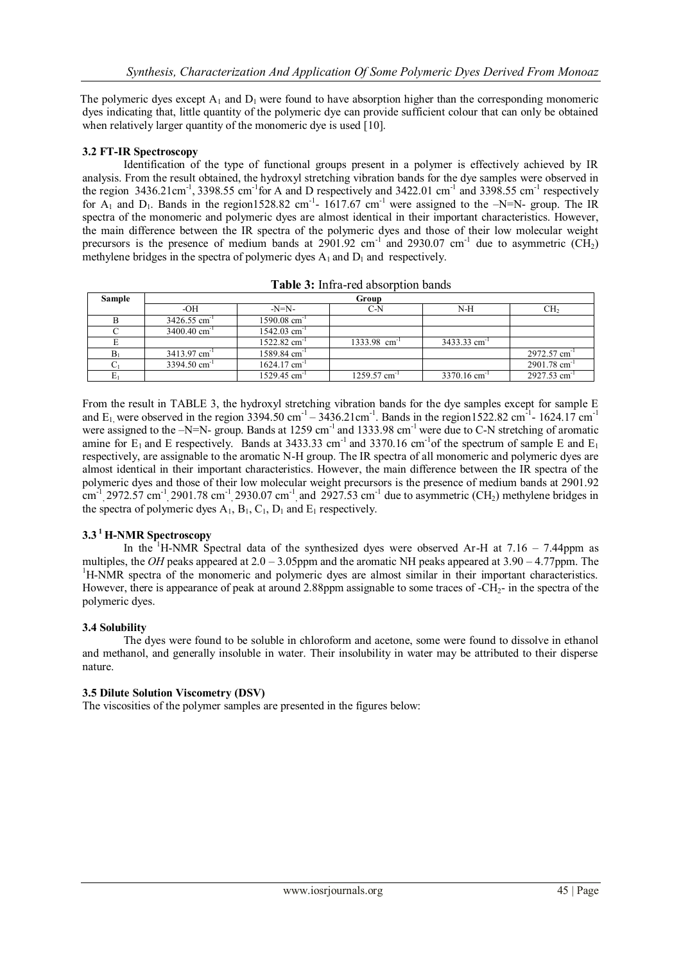The polymeric dyes except  $A_1$  and  $D_1$  were found to have absorption higher than the corresponding monomeric dyes indicating that, little quantity of the polymeric dye can provide sufficient colour that can only be obtained when relatively larger quantity of the monomeric dye is used [10].

# **3.2 FT-IR Spectroscopy**

Identification of the type of functional groups present in a polymer is effectively achieved by IR analysis. From the result obtained, the hydroxyl stretching vibration bands for the dye samples were observed in the region  $3436.21 \text{cm}^{-1}$ ,  $3398.55 \text{cm}^{-1}$  for A and D respectively and  $3422.01 \text{cm}^{-1}$  and  $3398.55 \text{cm}^{-1}$  respectively for  $A_1$  and  $D_1$ . Bands in the region1528.82 cm<sup>-1</sup>- 1617.67 cm<sup>-1</sup> were assigned to the  $-N=N$ - group. The IR spectra of the monomeric and polymeric dyes are almost identical in their important characteristics. However, the main difference between the IR spectra of the polymeric dyes and those of their low molecular weight precursors is the presence of medium bands at  $2901.92 \text{ cm}^{-1}$  and  $2930.07 \text{ cm}^{-1}$  due to asymmetric (CH<sub>2</sub>) methylene bridges in the spectra of polymeric dyes  $A_1$  and  $D_1$  and respectively.

| Sample | Group                      |                            |                            |                            |                            |
|--------|----------------------------|----------------------------|----------------------------|----------------------------|----------------------------|
|        | -OH                        | -N=N-                      | $C-N$                      | $N-H$                      | CH <sub>2</sub>            |
|        | $3426.55$ cm <sup>-1</sup> | $1590.08$ cm <sup>-1</sup> |                            |                            |                            |
|        | $3400.40$ cm <sup>-1</sup> | $1542.03$ cm <sup>-1</sup> |                            |                            |                            |
|        |                            | $1522.82$ cm <sup>-1</sup> | $1333.98$ cm <sup>-1</sup> | $3433.33$ cm <sup>-1</sup> |                            |
| $B_1$  | $3413.97$ cm <sup>-1</sup> | $1589.84$ cm <sup>-1</sup> |                            |                            | 2972.57 cm <sup>-1</sup>   |
|        | $3394.50$ cm <sup>-1</sup> | $1624.17$ cm <sup>-1</sup> |                            |                            | 2901.78 cm <sup>-1</sup>   |
|        |                            | $1529.45$ cm <sup>-1</sup> | $1259.57$ cm <sup>-1</sup> | $3370.16$ cm <sup>-1</sup> | $2927.53$ cm <sup>-1</sup> |

**Table 3:** Infra-red absorption bands

From the result in TABLE 3, the hydroxyl stretching vibration bands for the dye samples except for sample E and E<sub>1</sub>, were observed in the region 3394.50 cm<sup>-1</sup> – 3436.21 cm<sup>-1</sup>. Bands in the region1522.82 cm<sup>-1</sup>-1624.17 cm<sup>-1</sup> were assigned to the  $-N=N-$  group. Bands at 1259 cm<sup>-1</sup> and 1333.98 cm<sup>-1</sup> were due to C-N stretching of aromatic amine for  $E_1$  and E respectively. Bands at 3433.33 cm<sup>-1</sup> and 3370.16 cm<sup>-1</sup> of the spectrum of sample E and  $E_1$ respectively, are assignable to the aromatic N-H group. The IR spectra of all monomeric and polymeric dyes are almost identical in their important characteristics. However, the main difference between the IR spectra of the polymeric dyes and those of their low molecular weight precursors is the presence of medium bands at 2901.92  $\text{cm}^{-1}$ , 2972.57 cm<sup>-1</sup>, 2901.78 cm<sup>-1</sup>, 2930.07 cm<sup>-1</sup>, and 2927.53 cm<sup>-1</sup> due to asymmetric (CH<sub>2</sub>) methylene bridges in the spectra of polymeric dyes  $A_1$ ,  $B_1$ ,  $C_1$ ,  $D_1$  and  $E_1$  respectively.

# **3.3 <sup>1</sup>H-NMR Spectroscopy**

In the <sup>1</sup>H-NMR Spectral data of the synthesized dyes were observed Ar-H at  $7.16 - 7.44$ ppm as multiples, the *OH* peaks appeared at 2.0 – 3.05ppm and the aromatic NH peaks appeared at 3.90 – 4.77ppm. The <sup>1</sup>H-NMR spectra of the monomeric and polymeric dyes are almost similar in their important characteristics. However, there is appearance of peak at around 2.88ppm assignable to some traces of -CH2- in the spectra of the polymeric dyes.

# **3.4 Solubility**

The dyes were found to be soluble in chloroform and acetone, some were found to dissolve in ethanol and methanol, and generally insoluble in water. Their insolubility in water may be attributed to their disperse nature.

# **3.5 Dilute Solution Viscometry (DSV)**

The viscosities of the polymer samples are presented in the figures below: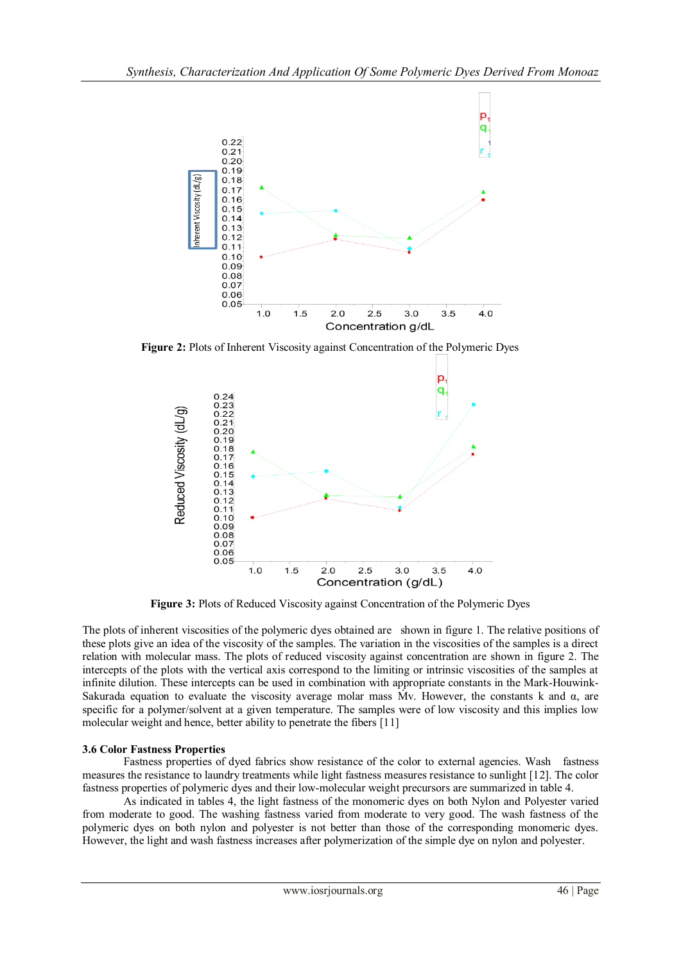

**Figure 2:** Plots of Inherent Viscosity against Concentration of the Polymeric Dyes



**Figure 3:** Plots of Reduced Viscosity against Concentration of the Polymeric Dyes

The plots of inherent viscosities of the polymeric dyes obtained are shown in figure 1. The relative positions of these plots give an idea of the viscosity of the samples. The variation in the viscosities of the samples is a direct relation with molecular mass. The plots of reduced viscosity against concentration are shown in figure 2. The intercepts of the plots with the vertical axis correspond to the limiting or intrinsic viscosities of the samples at infinite dilution. These intercepts can be used in combination with appropriate constants in the Mark-Houwink-Sakurada equation to evaluate the viscosity average molar mass  $Mv$ . However, the constants k and  $\alpha$ , are specific for a polymer/solvent at a given temperature. The samples were of low viscosity and this implies low molecular weight and hence, better ability to penetrate the fibers [11]

# **3.6 Color Fastness Properties**

Fastness properties of dyed fabrics show resistance of the color to external agencies. Wash fastness measures the resistance to laundry treatments while light fastness measures resistance to sunlight [12]. The color fastness properties of polymeric dyes and their low-molecular weight precursors are summarized in table 4.

 As indicated in tables 4, the light fastness of the monomeric dyes on both Nylon and Polyester varied from moderate to good. The washing fastness varied from moderate to very good. The wash fastness of the polymeric dyes on both nylon and polyester is not better than those of the corresponding monomeric dyes. However, the light and wash fastness increases after polymerization of the simple dye on nylon and polyester.